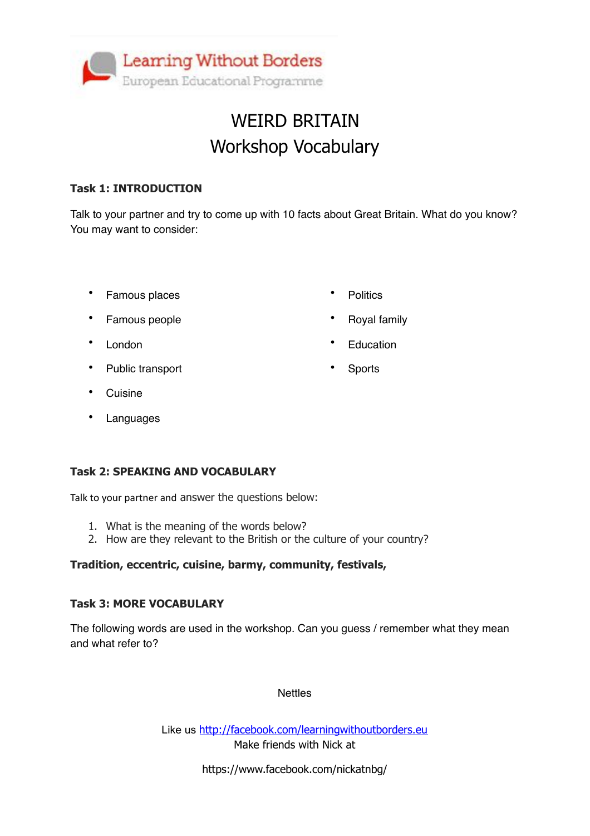

## WEIRD BRITAIN Workshop Vocabulary

#### **Task 1: INTRODUCTION**

Talk to your partner and try to come up with 10 facts about Great Britain. What do you know? You may want to consider:

• Famous places

• Politics

• Royal family

**Education** 

**Sports** 

- Famous people
- London
- Public transport
- Cuisine
- Languages

### **Task 2: SPEAKING AND VOCABULARY**

Talk to your partner and answer the questions below:

- 1. What is the meaning of the words below?
- 2. How are they relevant to the British or the culture of your country?

#### **Tradition, eccentric, cuisine, barmy, community, festivals,**

#### **Task 3: MORE VOCABULARY**

The following words are used in the workshop. Can you guess / remember what they mean and what refer to?

#### **Nettles**

Like us <http://facebook.com/learningwithoutborders.eu> Make friends with Nick at

https://www.facebook.com/nickatnbg/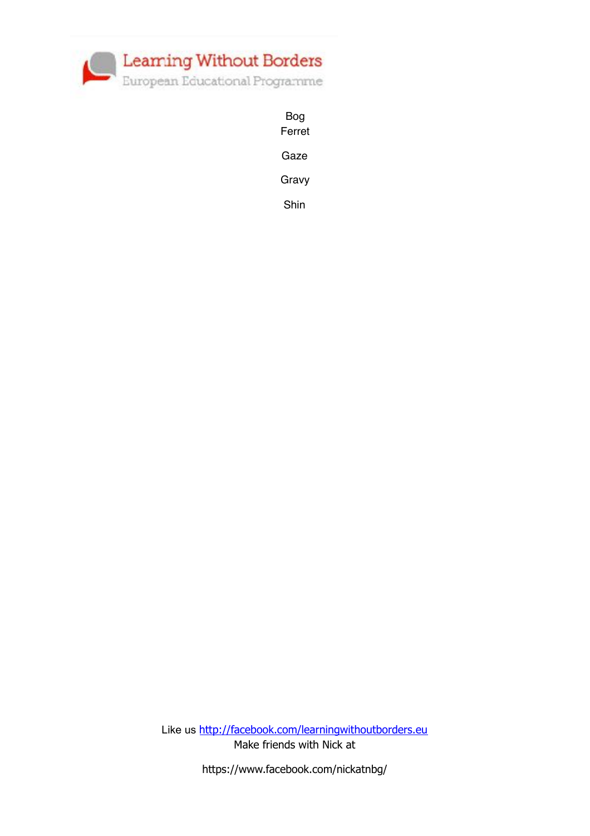

Bog Ferret Gaze Gravy

Shin

Like us <http://facebook.com/learningwithoutborders.eu> Make friends with Nick at

https://www.facebook.com/nickatnbg/